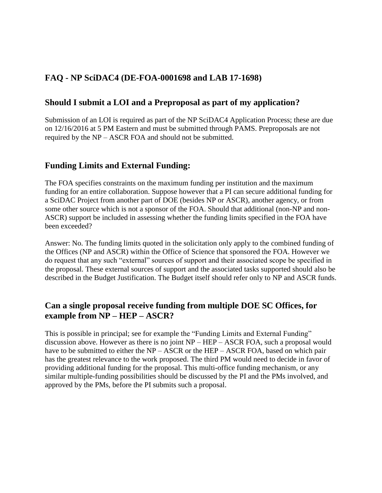# **FAQ - NP SciDAC4 (DE-FOA-0001698 and LAB 17-1698)**

## **Should I submit a LOI and a Preproposal as part of my application?**

Submission of an LOI is required as part of the NP SciDAC4 Application Process; these are due on 12/16/2016 at 5 PM Eastern and must be submitted through PAMS. Preproposals are not required by the NP – ASCR FOA and should not be submitted.

### **Funding Limits and External Funding:**

The FOA specifies constraints on the maximum funding per institution and the maximum funding for an entire collaboration. Suppose however that a PI can secure additional funding for a SciDAC Project from another part of DOE (besides NP or ASCR), another agency, or from some other source which is not a sponsor of the FOA. Should that additional (non-NP and non-ASCR) support be included in assessing whether the funding limits specified in the FOA have been exceeded?

Answer: No. The funding limits quoted in the solicitation only apply to the combined funding of the Offices (NP and ASCR) within the Office of Science that sponsored the FOA. However we do request that any such "external" sources of support and their associated scope be specified in the proposal. These external sources of support and the associated tasks supported should also be described in the Budget Justification. The Budget itself should refer only to NP and ASCR funds.

## **Can a single proposal receive funding from multiple DOE SC Offices, for example from NP – HEP – ASCR?**

This is possible in principal; see for example the "Funding Limits and External Funding" discussion above. However as there is no joint NP – HEP – ASCR FOA, such a proposal would have to be submitted to either the NP – ASCR or the HEP – ASCR FOA, based on which pair has the greatest relevance to the work proposed. The third PM would need to decide in favor of providing additional funding for the proposal. This multi-office funding mechanism, or any similar multiple-funding possibilities should be discussed by the PI and the PMs involved, and approved by the PMs, before the PI submits such a proposal.